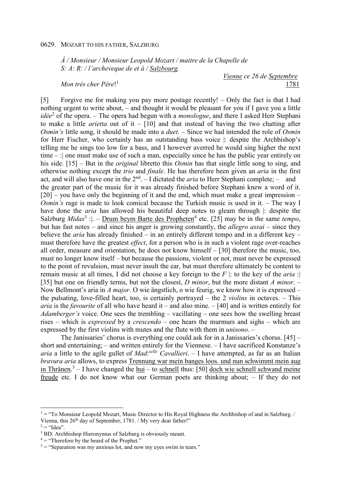*À / Monsieur / Monsieur Leopold Mozart / maitre de la Chapelle de S: A: R: / l'archeveque de et à / Salzbourg.* 

*Mon trés cher Pére*! 1

*Vienne ce 26 de Septembre*  1781

[5] Forgive me for making you pay more postage recently! – Only the fact is that I had nothing urgent to write about, – and thought it would be pleasant for you if I gave you a little idèe<sup>2</sup> of the opera. – The opera had begun with a *monologue*, and there I asked Herr Stephani to make a little *arietta* out of it – [10] and that instead of having the two chatting after *Osmin's* little song, it should be made into a *duet*. – Since we had intended the role of *Osmin* for Herr Fischer, who certainly has an outstanding bass voice |: despite the Archbishop's telling me he sings too low for a bass, and I however averred he would sing higher the next time – :| one must make use of such a man, especially since he has the public year entirely on his side. [15] – But in the *original* libretto this *Osmin* has that single little song to sing, and otherwise nothing except the *trio* and *finale*. He has therefore been given an *aria* in the first act, and will also have one in the  $2<sup>nd</sup> - I$  dictated the *aria* to Herr Stephani complete; – and the greater part of the music for it was already finished before Stephani knew a word of it.  $[20]$  – you have only the beginning of it and the end, which must make a great impression – *Osmin's* rage is made to look comical because the Turkish music is used in it. – The way I have done the *aria* has allowed his beautiful deep notes to gleam through |: despite the Salzburg *Midas*<sup>3</sup> :  $\vert \cdot \vert$  - Drum beym Barte des Propheten<sup>4</sup> etc. [25] may be in the same *tempo*, but has fast notes – and since his anger is growing constantly, the *allegro assai* – since they believe the *aria* has already finished – in an entirely different tempo and in a different key – must therefore have the greatest *effect*, for a person who is in such a violent rage over-reaches all order, measure and orientation, he does not know himself – [30] therefore the music, too, must no longer know itself – but because the passions, violent or not, must never be expressed to the point of revulsion, must never insult the ear, but must therefore ultimately be content to remain music at all times, I did not choose a key foreign to the *F* |: to the key of the *aria* :| [35] but one on friendly terms, but not the closest, *D minor*, but the more distant *A minor*. – Now Bellmont's aria in *A major*. O wie ängstlich, o wie feurig, we know how it is expressed – the pulsating, love-filled heart, too, is certainly portrayed – the 2 *violins* in octaves. – This *aria* is the *favourite* of all who have heard it – and also mine. – [40] and is written entirely for *Adamberger's* voice. One sees the trembling – vacillating – one sees how the swelling breast rises – which is *expressed* by a *crescendo* – one hears the murmurs and sighs – which are expressed by the first violins with mutes and the flute with them in *unisono*. –

The Janissaries' chorus is everything one could ask for in a Janissaries's chorus. [45] – short and entertaining; – and written entirely for the Viennese. – I have sacrificed Konstanze's *aria* a little to the agile gullet of *Mad*: *selle Cavallieri*. – I have attempted, as far as an Italian *bravura aria* allows, to express Trennung war mein banges loos. und nun schwimmt mein aug in Thränen.<sup>5</sup> – I have changed the <u>hui</u> – to schnell thus: [50] doch wie schnell schwand meine freude etc. I do not know what our German poets are thinking about; – If they do not

l

 $<sup>1</sup> = "To Monsieur Leopold Mozart, Music Director to His Royal Highness the Archbishop of and in Salzburg.$ </sup> Vienna, this 26<sup>th</sup> day of September, 1781. / My very dear father!"

 $2 = "Idea".$ 

<sup>&</sup>lt;sup>3</sup> BD: Archbishop Hieronymus of Salzburg is obviously meant.

 $4 =$  "Therefore by the beard of the Prophet."

 $5 =$  "Separation was my anxious lot, and now my eyes swim in tears."